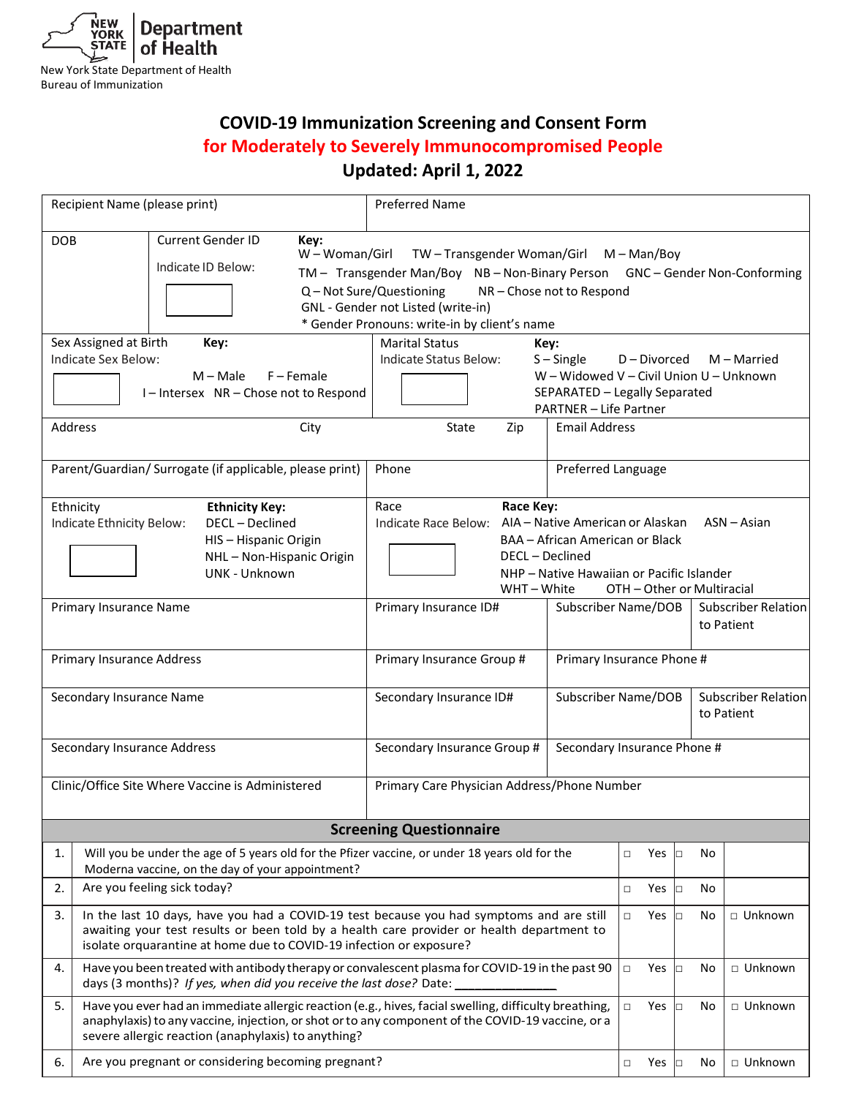

Bureau of Immunization

# **COVID-19 Immunization Screening and Consent Form for Moderately to Severely Immunocompromised People Updated: April 1, 2022**

|                                | Recipient Name (please print)                                                                                                                                                                                                                                     | <b>Preferred Name</b>                                                                                        |                                         |               |            |            |                             |  |
|--------------------------------|-------------------------------------------------------------------------------------------------------------------------------------------------------------------------------------------------------------------------------------------------------------------|--------------------------------------------------------------------------------------------------------------|-----------------------------------------|---------------|------------|------------|-----------------------------|--|
| <b>DOB</b>                     | Current Gender ID<br>Key:<br>W - Woman/Girl<br>TW-Transgender Woman/Girl M-Man/Boy                                                                                                                                                                                |                                                                                                              |                                         |               |            |            |                             |  |
|                                | Indicate ID Below:                                                                                                                                                                                                                                                | TM - Transgender Man/Boy NB - Non-Binary Person                                                              |                                         |               |            |            | GNC - Gender Non-Conforming |  |
|                                |                                                                                                                                                                                                                                                                   | Q - Not Sure/Questioning<br>NR-Chose not to Respond                                                          |                                         |               |            |            |                             |  |
|                                |                                                                                                                                                                                                                                                                   | GNL - Gender not Listed (write-in)<br>* Gender Pronouns: write-in by client's name                           |                                         |               |            |            |                             |  |
|                                | Sex Assigned at Birth<br>Key:                                                                                                                                                                                                                                     | <b>Marital Status</b><br>Key:                                                                                |                                         |               |            |            |                             |  |
|                                | Indicate Sex Below:                                                                                                                                                                                                                                               | Indicate Status Below:<br>$S -$ Single<br>D-Divorced<br>M - Married                                          |                                         |               |            |            |                             |  |
|                                | $M - Male$<br>F – Female                                                                                                                                                                                                                                          |                                                                                                              | W - Widowed V - Civil Union U - Unknown |               |            |            |                             |  |
|                                | I-Intersex NR-Chose not to Respond                                                                                                                                                                                                                                | SEPARATED - Legally Separated<br><b>PARTNER - Life Partner</b>                                               |                                         |               |            |            |                             |  |
| Address                        | City                                                                                                                                                                                                                                                              | <b>Email Address</b><br>State<br>Zip                                                                         |                                         |               |            |            |                             |  |
|                                |                                                                                                                                                                                                                                                                   |                                                                                                              |                                         |               |            |            |                             |  |
|                                | Parent/Guardian/ Surrogate (if applicable, please print)                                                                                                                                                                                                          | Phone                                                                                                        | Preferred Language                      |               |            |            |                             |  |
|                                | Ethnicity<br><b>Ethnicity Key:</b>                                                                                                                                                                                                                                | Race<br>Race Key:                                                                                            |                                         |               |            |            |                             |  |
|                                | DECL-Declined<br>Indicate Ethnicity Below:                                                                                                                                                                                                                        | AIA - Native American or Alaskan<br>Indicate Race Below:<br>$ASN - Asian$<br>BAA - African American or Black |                                         |               |            |            |                             |  |
|                                | HIS-Hispanic Origin<br>NHL-Non-Hispanic Origin                                                                                                                                                                                                                    | DECL - Declined                                                                                              |                                         |               |            |            |                             |  |
|                                | UNK - Unknown                                                                                                                                                                                                                                                     | NHP - Native Hawaiian or Pacific Islander                                                                    |                                         |               |            |            |                             |  |
|                                |                                                                                                                                                                                                                                                                   | WHT-White<br>OTH - Other or Multiracial                                                                      |                                         |               |            |            |                             |  |
|                                | Primary Insurance Name                                                                                                                                                                                                                                            | Primary Insurance ID#<br>Subscriber Name/DOB                                                                 |                                         |               |            |            | <b>Subscriber Relation</b>  |  |
|                                |                                                                                                                                                                                                                                                                   |                                                                                                              |                                         |               |            | to Patient |                             |  |
|                                | <b>Primary Insurance Address</b>                                                                                                                                                                                                                                  | Primary Insurance Phone #<br>Primary Insurance Group #                                                       |                                         |               |            |            |                             |  |
|                                | Secondary Insurance Name                                                                                                                                                                                                                                          | Subscriber Name/DOB<br>Secondary Insurance ID#                                                               |                                         |               |            |            | <b>Subscriber Relation</b>  |  |
|                                |                                                                                                                                                                                                                                                                   |                                                                                                              | to Patient                              |               |            |            |                             |  |
|                                | Secondary Insurance Address                                                                                                                                                                                                                                       | Secondary Insurance Group #                                                                                  | Secondary Insurance Phone #             |               |            |            |                             |  |
|                                |                                                                                                                                                                                                                                                                   |                                                                                                              |                                         |               |            |            |                             |  |
|                                | Clinic/Office Site Where Vaccine is Administered                                                                                                                                                                                                                  | Primary Care Physician Address/Phone Number                                                                  |                                         |               |            |            |                             |  |
| <b>Screening Questionnaire</b> |                                                                                                                                                                                                                                                                   |                                                                                                              |                                         |               |            |            |                             |  |
| 1.                             | Will you be under the age of 5 years old for the Pfizer vaccine, or under 18 years old for the                                                                                                                                                                    |                                                                                                              |                                         | Yes<br>$\Box$ | о          | No         |                             |  |
|                                | Moderna vaccine, on the day of your appointment?                                                                                                                                                                                                                  |                                                                                                              |                                         |               |            |            |                             |  |
| 2.                             | Are you feeling sick today?                                                                                                                                                                                                                                       |                                                                                                              |                                         | Yes<br>$\Box$ | Þ          | No         |                             |  |
| 3.                             | In the last 10 days, have you had a COVID-19 test because you had symptoms and are still                                                                                                                                                                          |                                                                                                              |                                         | $\Box$<br>Yes | lo         | No         | □ Unknown                   |  |
|                                | awaiting your test results or been told by a health care provider or health department to<br>isolate orquarantine at home due to COVID-19 infection or exposure?                                                                                                  |                                                                                                              |                                         |               |            |            |                             |  |
| 4.                             | Have you been treated with antibody therapy or convalescent plasma for COVID-19 in the past 90<br>days (3 months)? If yes, when did you receive the last dose? Date:                                                                                              |                                                                                                              |                                         |               | Yes<br>lo  | No         | □ Unknown                   |  |
| 5.                             | Have you ever had an immediate allergic reaction (e.g., hives, facial swelling, difficulty breathing,<br>anaphylaxis) to any vaccine, injection, or shot or to any component of the COVID-19 vaccine, or a<br>severe allergic reaction (anaphylaxis) to anything? |                                                                                                              |                                         |               |            | No         | □ Unknown                   |  |
| 6.                             | Are you pregnant or considering becoming pregnant?                                                                                                                                                                                                                |                                                                                                              |                                         |               | Yes $\Box$ | No         | □ Unknown                   |  |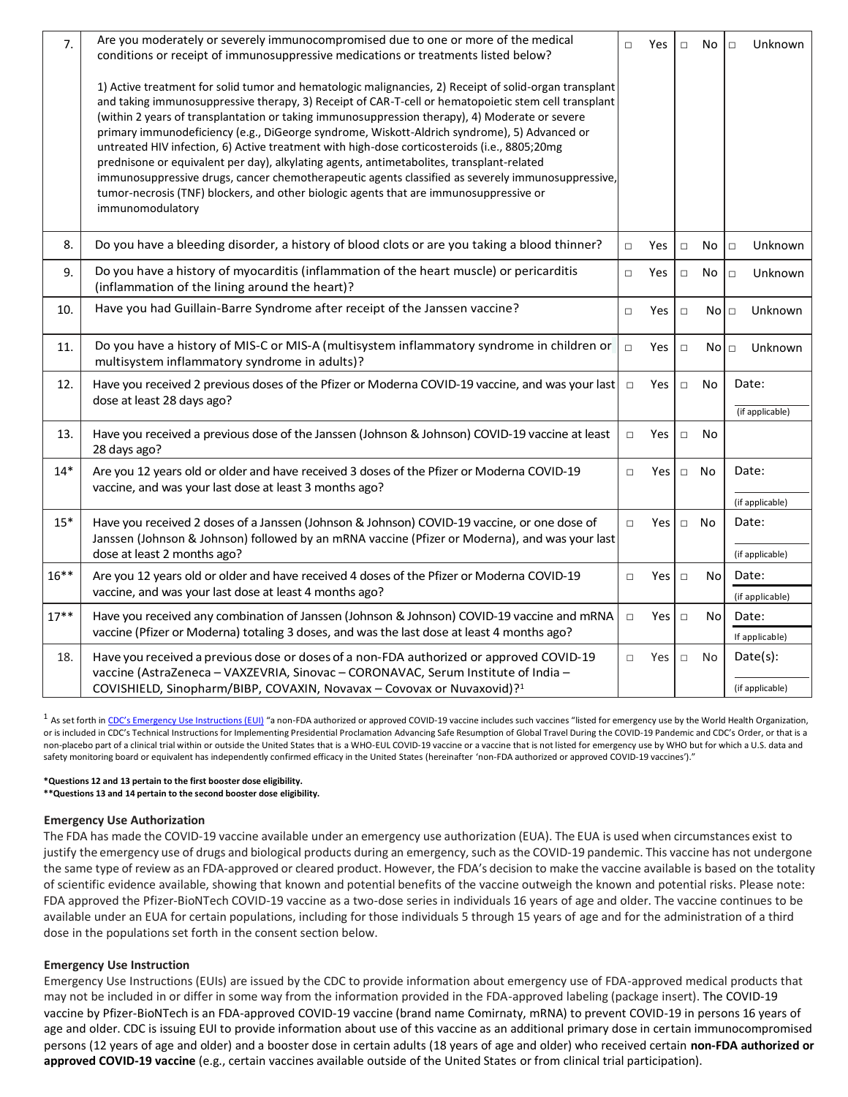| 7.      | Are you moderately or severely immunocompromised due to one or more of the medical<br>conditions or receipt of immunosuppressive medications or treatments listed below?                                                                                                                                                                                                                                                                                                                                                                                                                                                                                                                                                                                                                                                         |        | Yes        | $\Box$                     | No        | Unknown<br>$\Box$       |
|---------|----------------------------------------------------------------------------------------------------------------------------------------------------------------------------------------------------------------------------------------------------------------------------------------------------------------------------------------------------------------------------------------------------------------------------------------------------------------------------------------------------------------------------------------------------------------------------------------------------------------------------------------------------------------------------------------------------------------------------------------------------------------------------------------------------------------------------------|--------|------------|----------------------------|-----------|-------------------------|
|         | 1) Active treatment for solid tumor and hematologic malignancies, 2) Receipt of solid-organ transplant<br>and taking immunosuppressive therapy, 3) Receipt of CAR-T-cell or hematopoietic stem cell transplant<br>(within 2 years of transplantation or taking immunosuppression therapy), 4) Moderate or severe<br>primary immunodeficiency (e.g., DiGeorge syndrome, Wiskott-Aldrich syndrome), 5) Advanced or<br>untreated HIV infection, 6) Active treatment with high-dose corticosteroids (i.e., 8805;20mg<br>prednisone or equivalent per day), alkylating agents, antimetabolites, transplant-related<br>immunosuppressive drugs, cancer chemotherapeutic agents classified as severely immunosuppressive,<br>tumor-necrosis (TNF) blockers, and other biologic agents that are immunosuppressive or<br>immunomodulatory |        |            |                            |           |                         |
| 8.      | Do you have a bleeding disorder, a history of blood clots or are you taking a blood thinner?                                                                                                                                                                                                                                                                                                                                                                                                                                                                                                                                                                                                                                                                                                                                     | $\Box$ | Yes        | $\Box$                     | No        | Unknown<br>$\Box$       |
| 9.      | Do you have a history of myocarditis (inflammation of the heart muscle) or pericarditis<br>(inflammation of the lining around the heart)?                                                                                                                                                                                                                                                                                                                                                                                                                                                                                                                                                                                                                                                                                        | $\Box$ | Yes        | $\Box$                     | No        | Unknown<br>$\Box$       |
| 10.     | Have you had Guillain-Barre Syndrome after receipt of the Janssen vaccine?                                                                                                                                                                                                                                                                                                                                                                                                                                                                                                                                                                                                                                                                                                                                                       | $\Box$ | Yes        | $\Box$                     | $No \Box$ | Unknown                 |
| 11.     | Do you have a history of MIS-C or MIS-A (multisystem inflammatory syndrome in children or<br>multisystem inflammatory syndrome in adults)?                                                                                                                                                                                                                                                                                                                                                                                                                                                                                                                                                                                                                                                                                       | $\Box$ | Yes        | $\Box$<br>No  <sub>□</sub> |           | Unknown                 |
| 12.     | Have you received 2 previous doses of the Pfizer or Moderna COVID-19 vaccine, and was your last<br>dose at least 28 days ago?                                                                                                                                                                                                                                                                                                                                                                                                                                                                                                                                                                                                                                                                                                    |        | Yes        | $\Box$                     | No        | Date:                   |
|         |                                                                                                                                                                                                                                                                                                                                                                                                                                                                                                                                                                                                                                                                                                                                                                                                                                  |        |            |                            |           | (if applicable)         |
| 13.     | Have you received a previous dose of the Janssen (Johnson & Johnson) COVID-19 vaccine at least<br>28 days ago?                                                                                                                                                                                                                                                                                                                                                                                                                                                                                                                                                                                                                                                                                                                   | $\Box$ | Yes        | $\Box$                     | No        |                         |
| $14*$   | Are you 12 years old or older and have received 3 doses of the Pfizer or Moderna COVID-19<br>vaccine, and was your last dose at least 3 months ago?                                                                                                                                                                                                                                                                                                                                                                                                                                                                                                                                                                                                                                                                              | $\Box$ | Yes        |                            | $\Box$ No | Date:                   |
|         |                                                                                                                                                                                                                                                                                                                                                                                                                                                                                                                                                                                                                                                                                                                                                                                                                                  |        |            |                            |           | (if applicable)         |
| $15*$   | Have you received 2 doses of a Janssen (Johnson & Johnson) COVID-19 vaccine, or one dose of<br>Janssen (Johnson & Johnson) followed by an mRNA vaccine (Pfizer or Moderna), and was your last                                                                                                                                                                                                                                                                                                                                                                                                                                                                                                                                                                                                                                    | $\Box$ | Yes        | $\Box$                     | No        | Date:                   |
|         | dose at least 2 months ago?                                                                                                                                                                                                                                                                                                                                                                                                                                                                                                                                                                                                                                                                                                                                                                                                      |        |            |                            |           | (if applicable)         |
| $16***$ | Are you 12 years old or older and have received 4 doses of the Pfizer or Moderna COVID-19<br>vaccine, and was your last dose at least 4 months ago?                                                                                                                                                                                                                                                                                                                                                                                                                                                                                                                                                                                                                                                                              | $\Box$ | Yes        | No<br>Date:<br>$\Box$      |           |                         |
|         |                                                                                                                                                                                                                                                                                                                                                                                                                                                                                                                                                                                                                                                                                                                                                                                                                                  |        |            |                            |           | (if applicable)         |
| $17***$ | Have you received any combination of Janssen (Johnson & Johnson) COVID-19 vaccine and mRNA<br>vaccine (Pfizer or Moderna) totaling 3 doses, and was the last dose at least 4 months ago?                                                                                                                                                                                                                                                                                                                                                                                                                                                                                                                                                                                                                                         | $\Box$ | Yes $\Box$ |                            | No        | Date:<br>If applicable) |
|         |                                                                                                                                                                                                                                                                                                                                                                                                                                                                                                                                                                                                                                                                                                                                                                                                                                  |        |            |                            |           |                         |
| 18.     | Have you received a previous dose or doses of a non-FDA authorized or approved COVID-19<br>vaccine (AstraZeneca - VAXZEVRIA, Sinovac - CORONAVAC, Serum Institute of India -                                                                                                                                                                                                                                                                                                                                                                                                                                                                                                                                                                                                                                                     | $\Box$ | Yes        | $\Box$                     | No        | Date(s):                |
|         | COVISHIELD, Sinopharm/BIBP, COVAXIN, Novavax - Covovax or Nuvaxovid)? <sup>1</sup>                                                                                                                                                                                                                                                                                                                                                                                                                                                                                                                                                                                                                                                                                                                                               |        |            |                            |           | (if applicable)         |

<sup>1</sup> As set forth in [CDC's Emergency Use Instructions \(EUI\)](https://www.cdc.gov/vaccines/covid-19/eui/index.html) "a non-FDA authorized or approved COVID-19 vaccine includes such vaccines "listed for emergency use by the World Health Organization, or is included in CDC's Technical Instructions for Implementing Presidential Proclamation Advancing Safe Resumption of Global Travel During the COVID-19 Pandemic and CDC's Order, or that is a non-placebo part of a clinical trial within or outside the United States that is a WHO-EUL COVID-19 vaccine or a vaccine that is not listed for emergency use by WHO but for which a U.S. data and safety monitoring board or equivalent has independently confirmed efficacy in the United States (hereinafter 'non-FDA authorized or approved COVID-19 vaccines')."

#### **\*Questions 12 and 13 pertain to the first booster dose eligibility.**

**\*\*Questions 13 and 14 pertain to the second booster dose eligibility.**

### **Emergency Use Authorization**

The FDA has made the COVID-19 vaccine available under an emergency use authorization (EUA). The EUA is used when circumstances exist to justify the emergency use of drugs and biological products during an emergency, such as the COVID-19 pandemic. This vaccine has not undergone the same type of review as an FDA-approved or cleared product. However, the FDA's decision to make the vaccine available is based on the totality of scientific evidence available, showing that known and potential benefits of the vaccine outweigh the known and potential risks. Please note: FDA approved the Pfizer-BioNTech COVID-19 vaccine as a two-dose series in individuals 16 years of age and older. The vaccine continues to be available under an EUA for certain populations, including for those individuals 5 through 15 years of age and for the administration of a third dose in the populations set forth in the consent section below.

# **Emergency Use Instruction**

Emergency Use Instructions (EUIs) are issued by the CDC to provide information about emergency use of FDA-approved medical products that may not be included in or differ in some way from the information provided in the FDA-approved labeling (package insert). The COVID-19 vaccine by Pfizer-BioNTech is an FDA-approved COVID-19 vaccine (brand name Comirnaty, mRNA) to prevent COVID-19 in persons 16 years of age and older. CDC is issuing EUI to provide information about use of this vaccine as an additional primary dose in certain immunocompromised persons (12 years of age and older) and a booster dose in certain adults (18 years of age and older) who received certain **non-FDA authorized or approved COVID-19 vaccine** (e.g., certain vaccines available outside of the United States or from clinical trial participation).